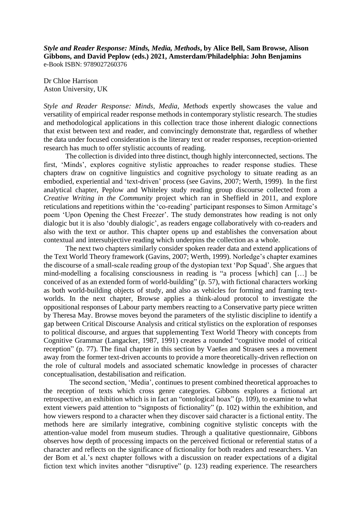*Style and Reader Response: Minds, Media, Methods***, by Alice Bell, Sam Browse, Alison Gibbons, and David Peplow (eds.) 2021, Amsterdam/Philadelphia: John Benjamins** e-Book ISBN: 9789027260376

Dr Chloe Harrison Aston University, UK

*Style and Reader Response: Minds, Media, Methods* expertly showcases the value and versatility of empirical reader response methods in contemporary stylistic research. The studies and methodological applications in this collection trace those inherent dialogic connections that exist between text and reader, and convincingly demonstrate that, regardless of whether the data under focused consideration is the literary text or reader responses, reception-oriented research has much to offer stylistic accounts of reading.

The collection is divided into three distinct, though highly interconnected, sections. The first, 'Minds', explores cognitive stylistic approaches to reader response studies. These chapters draw on cognitive linguistics and cognitive psychology to situate reading as an embodied, experiential and 'text-driven' process (see Gavins, 2007; Werth, 1999). In the first analytical chapter, Peplow and Whiteley study reading group discourse collected from a *Creative Writing in the Community* project which ran in Sheffield in 2011, and explore reticulations and repetitions within the 'co-reading' participant responses to Simon Armitage's poem 'Upon Opening the Chest Freezer'. The study demonstrates how reading is not only dialogic but it is also 'doubly dialogic', as readers engage collaboratively with co-readers and also with the text or author. This chapter opens up and establishes the conversation about contextual and intersubjective reading which underpins the collection as a whole.

The next two chapters similarly consider spoken reader data and extend applications of the Text World Theory framework (Gavins, 2007; Werth, 1999). Norledge's chapter examines the discourse of a small-scale reading group of the dystopian text 'Pop Squad'. She argues that mind-modelling a focalising consciousness in reading is "a process [which] can […] be conceived of as an extended form of world-building" (p. 57), with fictional characters working as both world-building objects of study, and also as vehicles for forming and framing textworlds. In the next chapter, Browse applies a think-aloud protocol to investigate the oppositional responses of Labour party members reacting to a Conservative party piece written by Theresa May. Browse moves beyond the parameters of the stylistic discipline to identify a gap between Critical Discourse Analysis and critical stylistics on the exploration of responses to political discourse, and argues that supplementing Text World Theory with concepts from Cognitive Grammar (Langacker, 1987, 1991) creates a rounded "cognitive model of critical reception" (p. 77). The final chapter in this section by Vaeßen and Strasen sees a movement away from the former text-driven accounts to provide a more theoretically-driven reflection on the role of cultural models and associated schematic knowledge in processes of character conceptualisation, destabilisation and reification.

The second section, 'Media', continues to present combined theoretical approaches to the reception of texts which cross genre categories. Gibbons explores a fictional art retrospective, an exhibition which is in fact an "ontological hoax" (p. 109), to examine to what extent viewers paid attention to "signposts of fictionality" (p. 102) within the exhibition, and how viewers respond to a character when they discover said character is a fictional entity. The methods here are similarly integrative, combining cognitive stylistic concepts with the attention-value model from museum studies. Through a qualitative questionnaire, Gibbons observes how depth of processing impacts on the perceived fictional or referential status of a character and reflects on the significance of fictionality for both readers and researchers. Van der Bom et al.'s next chapter follows with a discussion on reader expectations of a digital fiction text which invites another "disruptive" (p. 123) reading experience. The researchers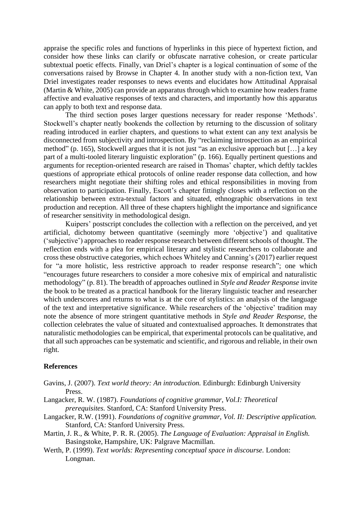appraise the specific roles and functions of hyperlinks in this piece of hypertext fiction, and consider how these links can clarify or obfuscate narrative cohesion, or create particular subtextual poetic effects. Finally, van Driel's chapter is a logical continuation of some of the conversations raised by Browse in Chapter 4. In another study with a non-fiction text, Van Driel investigates reader responses to news events and elucidates how Attitudinal Appraisal (Martin & White, 2005) can provide an apparatus through which to examine how readers frame affective and evaluative responses of texts and characters, and importantly how this apparatus can apply to both text and response data.

The third section poses larger questions necessary for reader response 'Methods'. Stockwell's chapter neatly bookends the collection by returning to the discussion of solitary reading introduced in earlier chapters, and questions to what extent can any text analysis be disconnected from subjectivity and introspection. By "reclaiming introspection as an empirical method" (p. 165), Stockwell argues that it is not just "as an exclusive approach but […] a key part of a multi-tooled literary linguistic exploration" (p. 166). Equally pertinent questions and arguments for reception-oriented research are raised in Thomas' chapter, which deftly tackles questions of appropriate ethical protocols of online reader response data collection, and how researchers might negotiate their shifting roles and ethical responsibilities in moving from observation to participation. Finally, Escott's chapter fittingly closes with a reflection on the relationship between extra-textual factors and situated, ethnographic observations in text production and reception. All three of these chapters highlight the importance and significance of researcher sensitivity in methodological design.

Kuipers' postscript concludes the collection with a reflection on the perceived, and yet artificial, dichotomy between quantitative (seemingly more 'objective') and qualitative ('subjective') approaches to reader response research between different schools of thought. The reflection ends with a plea for empirical literary and stylistic researchers to collaborate and cross these obstructive categories, which echoes Whiteley and Canning's (2017) earlier request for "a more holistic, less restrictive approach to reader response research"; one which "encourages future researchers to consider a more cohesive mix of empirical and naturalistic methodology" (p. 81). The breadth of approaches outlined in *Style and Reader Response* invite the book to be treated as a practical handbook for the literary linguistic teacher and researcher which underscores and returns to what is at the core of stylistics: an analysis of the language of the text and interpretative significance. While researchers of the 'objective' tradition may note the absence of more stringent quantitative methods in *Style and Reader Response*, the collection celebrates the value of situated and contextualised approaches. It demonstrates that naturalistic methodologies can be empirical, that experimental protocols can be qualitative, and that all such approaches can be systematic and scientific, and rigorous and reliable, in their own right.

## **References**

- Gavins, J. (2007). *Text world theory: An introduction.* Edinburgh: Edinburgh University Press.
- Langacker, R. W. (1987). *Foundations of cognitive grammar, Vol.I: Theoretical prerequisites.* Stanford, CA: Stanford University Press.
- Langacker, R.W. (1991). *Foundations of cognitive grammar, Vol. II: Descriptive application.* Stanford, CA: Stanford University Press.
- Martin, J. R., & White, P. R. R. (2005). *The Language of Evaluation: Appraisal in English.* Basingstoke, Hampshire, UK: Palgrave Macmillan.
- Werth, P. (1999). *Text worlds: Representing conceptual space in discourse.* London: Longman.